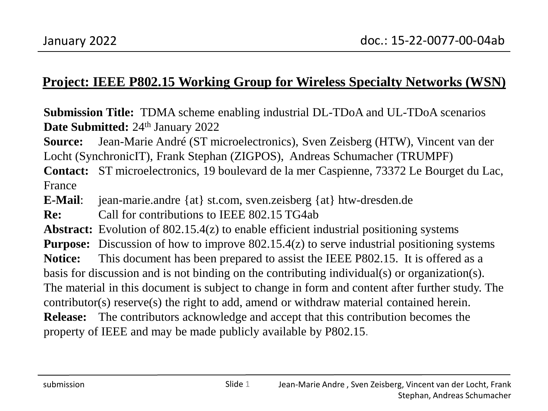#### **Project: IEEE P802.15 Working Group for Wireless Specialty Networks (WSN)**

**Submission Title:** TDMA scheme enabling industrial DL-TDoA and UL-TDoA scenarios **Date Submitted: 24th January 2022** 

**Source:** Jean-Marie André (ST microelectronics), Sven Zeisberg (HTW), Vincent van der Locht (SynchronicIT), Frank Stephan (ZIGPOS), Andreas Schumacher (TRUMPF)

**Contact:** ST microelectronics, 19 boulevard de la mer Caspienne, 73372 Le Bourget du Lac, France

**E-Mail**: jean-marie.andre {at} st.com, sven.zeisberg {at} htw-dresden.de

**Re:** Call for contributions to IEEE 802.15 TG4ab

**Abstract:** Evolution of 802.15.4(z) to enable efficient industrial positioning systems

**Purpose:** Discussion of how to improve 802.15.4(z) to serve industrial positioning systems

**Notice:** This document has been prepared to assist the IEEE P802.15. It is offered as a basis for discussion and is not binding on the contributing individual(s) or organization(s). The material in this document is subject to change in form and content after further study. The contributor(s) reserve(s) the right to add, amend or withdraw material contained herein. **Release:** The contributors acknowledge and accept that this contribution becomes the property of IEEE and may be made publicly available by P802.15.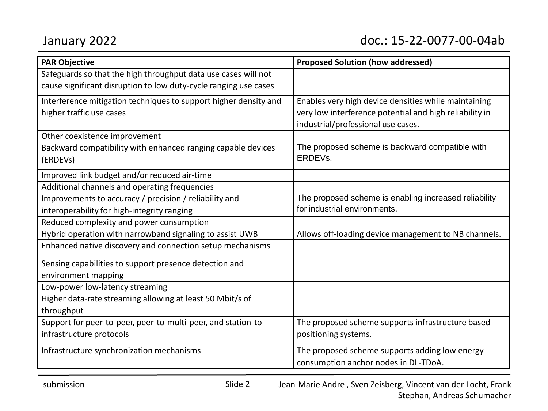| <b>PAR Objective</b>                                             | <b>Proposed Solution (how addressed)</b>                |
|------------------------------------------------------------------|---------------------------------------------------------|
| Safeguards so that the high throughput data use cases will not   |                                                         |
| cause significant disruption to low duty-cycle ranging use cases |                                                         |
| Interference mitigation techniques to support higher density and | Enables very high device densities while maintaining    |
| higher traffic use cases                                         | very low interference potential and high reliability in |
|                                                                  | industrial/professional use cases.                      |
| Other coexistence improvement                                    |                                                         |
| Backward compatibility with enhanced ranging capable devices     | The proposed scheme is backward compatible with         |
| (ERDEVs)                                                         | ERDEVs.                                                 |
| Improved link budget and/or reduced air-time                     |                                                         |
| Additional channels and operating frequencies                    |                                                         |
| Improvements to accuracy / precision / reliability and           | The proposed scheme is enabling increased reliability   |
| interoperability for high-integrity ranging                      | for industrial environments.                            |
| Reduced complexity and power consumption                         |                                                         |
| Hybrid operation with narrowband signaling to assist UWB         | Allows off-loading device management to NB channels.    |
| Enhanced native discovery and connection setup mechanisms        |                                                         |
| Sensing capabilities to support presence detection and           |                                                         |
| environment mapping                                              |                                                         |
| Low-power low-latency streaming                                  |                                                         |
| Higher data-rate streaming allowing at least 50 Mbit/s of        |                                                         |
| throughput                                                       |                                                         |
| Support for peer-to-peer, peer-to-multi-peer, and station-to-    | The proposed scheme supports infrastructure based       |
| infrastructure protocols                                         | positioning systems.                                    |
| Infrastructure synchronization mechanisms                        | The proposed scheme supports adding low energy          |
|                                                                  | consumption anchor nodes in DL-TDoA.                    |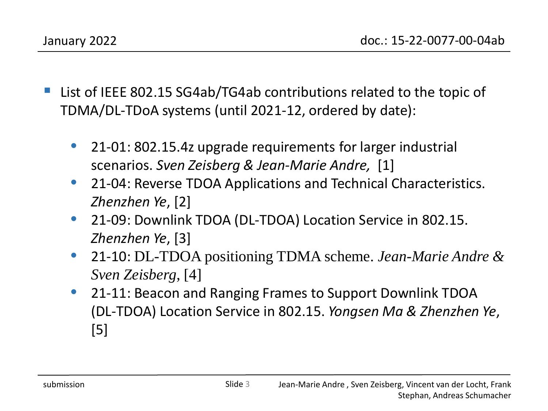- List of IEEE 802.15 SG4ab/TG4ab contributions related to the topic of TDMA/DL-TDoA systems (until 2021-12, ordered by date):
	- 21-01: 802.15.4z upgrade requirements for larger industrial scenarios. *Sven Zeisberg & Jean-Marie Andre,* [1]
	- 21-04: Reverse TDOA Applications and Technical Characteristics. *Zhenzhen Ye*, [2]
	- 21-09: Downlink TDOA (DL-TDOA) Location Service in 802.15. *Zhenzhen Ye*, [3]
	- 21-10: DL-TDOA positioning TDMA scheme. *Jean-Marie Andre & Sven Zeisberg*, [4]
	- 21-11: Beacon and Ranging Frames to Support Downlink TDOA (DL-TDOA) Location Service in 802.15. *Yongsen Ma & Zhenzhen Ye*, [5]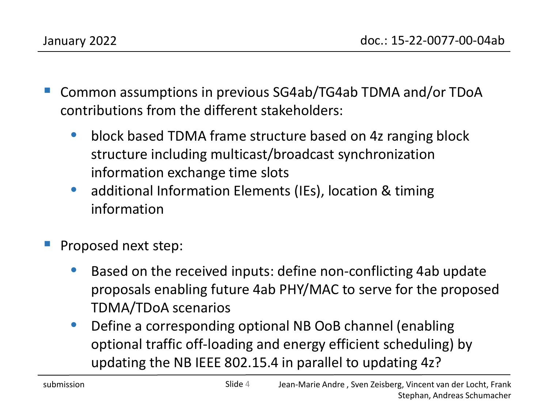- Common assumptions in previous SG4ab/TG4ab TDMA and/or TDoA contributions from the different stakeholders:
	- block based TDMA frame structure based on 4z ranging block structure including multicast/broadcast synchronization information exchange time slots
	- additional Information Elements (IEs), location & timing information
- Proposed next step:
	- Based on the received inputs: define non-conflicting 4ab update proposals enabling future 4ab PHY/MAC to serve for the proposed TDMA/TDoA scenarios
	- Define a corresponding optional NB OoB channel (enabling optional traffic off-loading and energy efficient scheduling) by updating the NB IEEE 802.15.4 in parallel to updating 4z?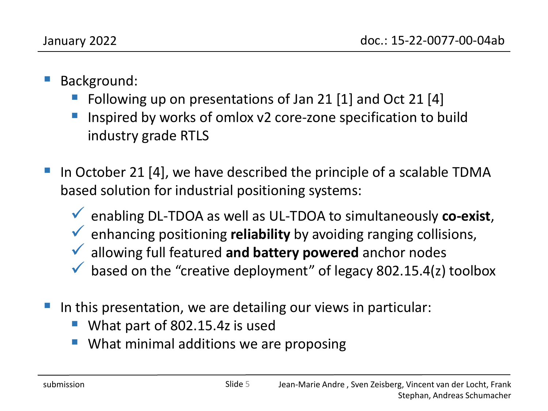- Background:
	- Following up on presentations of Jan 21 [1] and Oct 21 [4]
	- Inspired by works of omlox v2 core-zone specification to build industry grade RTLS
- In October 21 [4], we have described the principle of a scalable TDMA based solution for industrial positioning systems:
	- enabling DL-TDOA as well as UL-TDOA to simultaneously **co-exist**,
	- enhancing positioning **reliability** by avoiding ranging collisions,
	- allowing full featured **and battery powered** anchor nodes
	- $\blacktriangledown$  based on the "creative deployment" of legacy 802.15.4(z) toolbox
- In this presentation, we are detailing our views in particular:
	- What part of 802.15.4z is used
	- What minimal additions we are proposing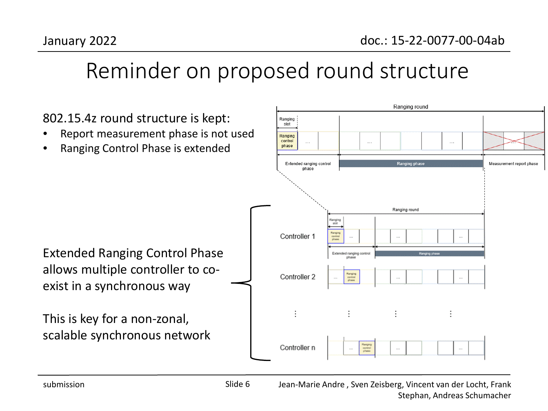#### Reminder on proposed round structure

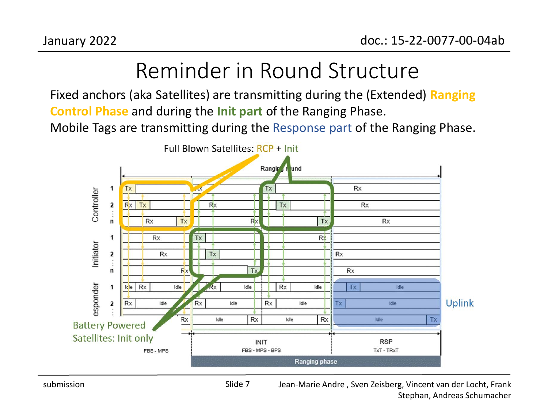# Reminder in Round Structure

Fixed anchors (aka Satellites) are transmitting during the (Extended) **Ranging Control Phase** and during the **Init part** of the Ranging Phase.

Mobile Tags are transmitting during the Response part of the Ranging Phase.

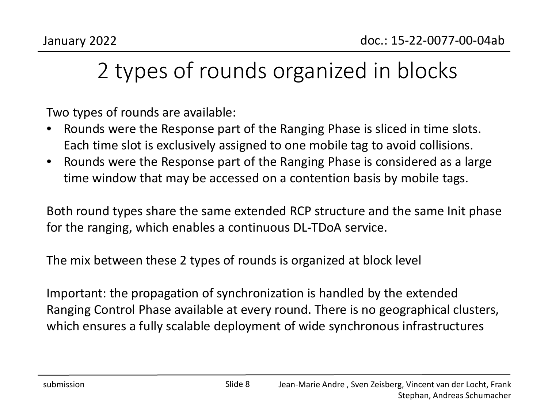# 2 types of rounds organized in blocks

Two types of rounds are available:

- Rounds were the Response part of the Ranging Phase is sliced in time slots. Each time slot is exclusively assigned to one mobile tag to avoid collisions.
- Rounds were the Response part of the Ranging Phase is considered as a large time window that may be accessed on a contention basis by mobile tags.

Both round types share the same extended RCP structure and the same Init phase for the ranging, which enables a continuous DL-TDoA service.

The mix between these 2 types of rounds is organized at block level

Important: the propagation of synchronization is handled by the extended Ranging Control Phase available at every round. There is no geographical clusters, which ensures a fully scalable deployment of wide synchronous infrastructures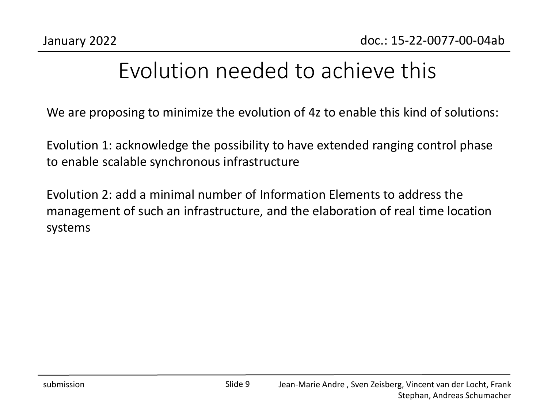## Evolution needed to achieve this

We are proposing to minimize the evolution of 4z to enable this kind of solutions:

Evolution 1: acknowledge the possibility to have extended ranging control phase to enable scalable synchronous infrastructure

Evolution 2: add a minimal number of Information Elements to address the management of such an infrastructure, and the elaboration of real time location systems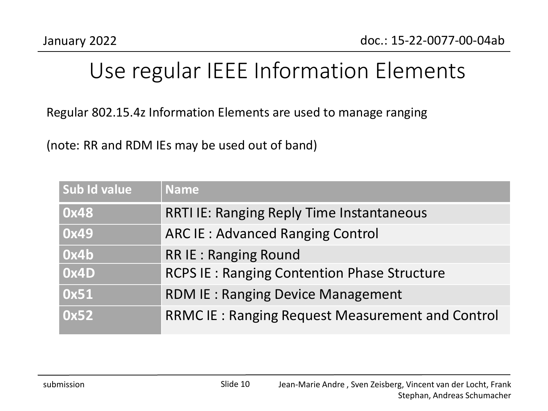## Use regular IEEE Information Elements

Regular 802.15.4z Information Elements are used to manage ranging

(note: RR and RDM IEs may be used out of band)

| Sub Id value | <b>Name</b>                                             |
|--------------|---------------------------------------------------------|
| 0x48         | <b>RRTI IE: Ranging Reply Time Instantaneous</b>        |
| 0x49         | <b>ARC IE: Advanced Ranging Control</b>                 |
| 0x4b         | <b>RR IE: Ranging Round</b>                             |
| 0x4D         | <b>RCPS IE: Ranging Contention Phase Structure</b>      |
| 0x51         | <b>RDM IE: Ranging Device Management</b>                |
| 0x52         | <b>RRMC IE: Ranging Request Measurement and Control</b> |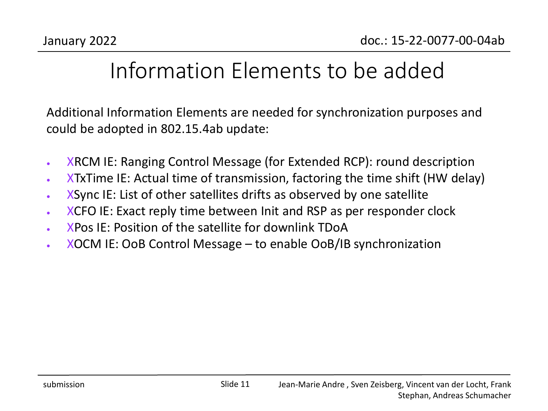## Information Elements to be added

Additional Information Elements are needed for synchronization purposes and could be adopted in 802.15.4ab update:

- XRCM IE: Ranging Control Message (for Extended RCP): round description
- XTxTime IE: Actual time of transmission, factoring the time shift (HW delay)
- XSync IE: List of other satellites drifts as observed by one satellite
- XCFO IE: Exact reply time between Init and RSP as per responder clock
- XPos IE: Position of the satellite for downlink TDoA
- XOCM IE: OoB Control Message to enable OoB/IB synchronization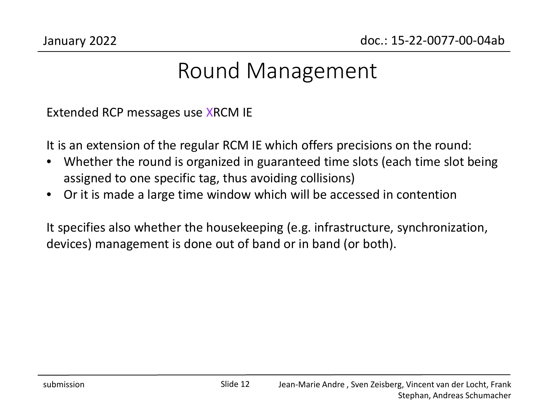#### Round Management

Extended RCP messages use XRCM IE

It is an extension of the regular RCM IE which offers precisions on the round:

- Whether the round is organized in guaranteed time slots (each time slot being assigned to one specific tag, thus avoiding collisions)
- Or it is made a large time window which will be accessed in contention

It specifies also whether the housekeeping (e.g. infrastructure, synchronization, devices) management is done out of band or in band (or both).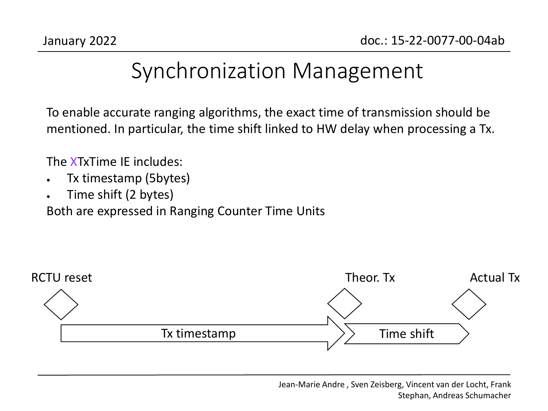#### Synchronization Management

To enable accurate ranging algorithms, the exact time of transmission should be mentioned. In particular, the time shift linked to HW delay when processing a Tx.

The XTxTime IE includes:

- Tx timestamp (5bytes)
- Time shift (2 bytes)

Both are expressed in Ranging Counter Time Units



Jean-Marie Andre , Sven Zeisberg, Vincent van der Locht, Frank Stephan, Andreas Schumacher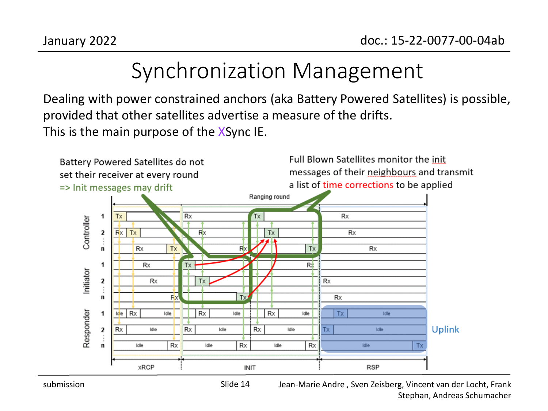## Synchronization Management

Dealing with power constrained anchors (aka Battery Powered Satellites) is possible, provided that other satellites advertise a measure of the drifts. This is the main purpose of the XSync IE.



Jean-Marie Andre , Sven Zeisberg, Vincent van der Locht, Frank Stephan, Andreas Schumacher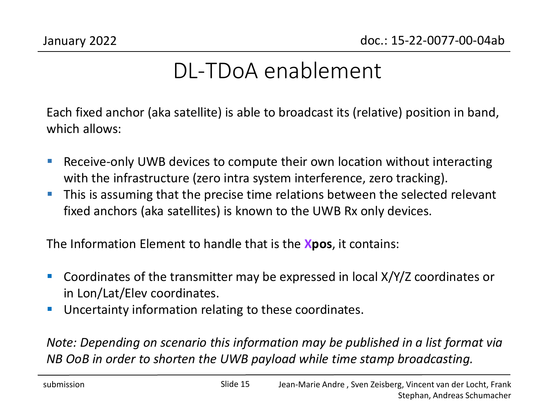## DL-TDoA enablement

Each fixed anchor (aka satellite) is able to broadcast its (relative) position in band, which allows:

- Receive-only UWB devices to compute their own location without interacting with the infrastructure (zero intra system interference, zero tracking).
- **This is assuming that the precise time relations between the selected relevant** fixed anchors (aka satellites) is known to the UWB Rx only devices.

The Information Element to handle that is the **Xpos**, it contains:

- **Coordinates of the transmitter may be expressed in local X/Y/Z coordinates or** in Lon/Lat/Elev coordinates.
- **Uncertainty information relating to these coordinates.**

*Note: Depending on scenario this information may be published in a list format via NB OoB in order to shorten the UWB payload while time stamp broadcasting.*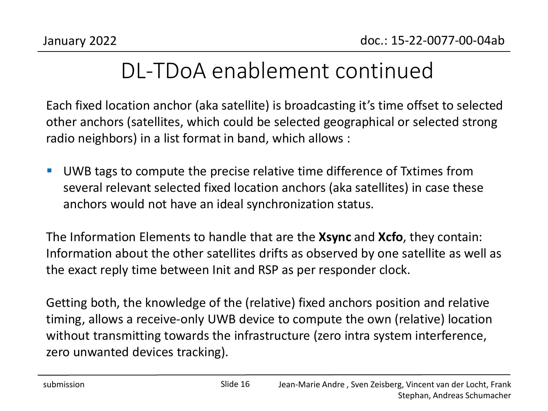## DL-TDoA enablement continued

Each fixed location anchor (aka satellite) is broadcasting it's time offset to selected other anchors (satellites, which could be selected geographical or selected strong radio neighbors) in a list format in band, which allows :

■ UWB tags to compute the precise relative time difference of Txtimes from several relevant selected fixed location anchors (aka satellites) in case these anchors would not have an ideal synchronization status.

The Information Elements to handle that are the **Xsync** and **Xcfo**, they contain: Information about the other satellites drifts as observed by one satellite as well as the exact reply time between Init and RSP as per responder clock.

Getting both, the knowledge of the (relative) fixed anchors position and relative timing, allows a receive-only UWB device to compute the own (relative) location without transmitting towards the infrastructure (zero intra system interference, zero unwanted devices tracking).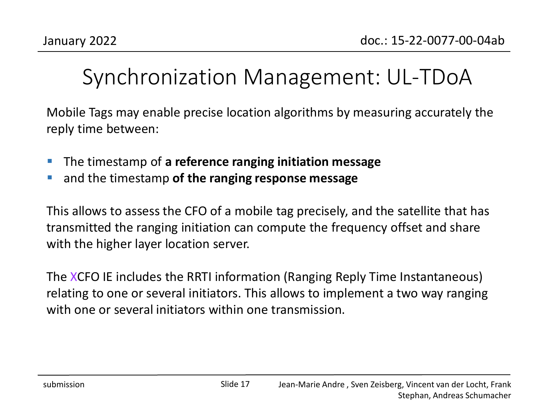## Synchronization Management: UL-TDoA

Mobile Tags may enable precise location algorithms by measuring accurately the reply time between:

- The timestamp of **a reference ranging initiation message**
- and the timestamp **of the ranging response message**

This allows to assess the CFO of a mobile tag precisely, and the satellite that has transmitted the ranging initiation can compute the frequency offset and share with the higher layer location server.

The XCFO IE includes the RRTI information (Ranging Reply Time Instantaneous) relating to one or several initiators. This allows to implement a two way ranging with one or several initiators within one transmission.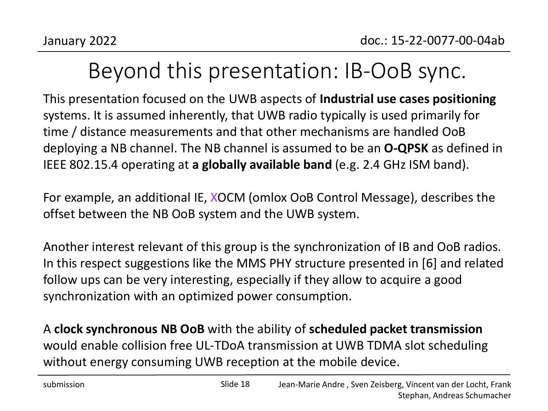## Beyond this presentation: IB-OoB sync.

This presentation focused on the UWB aspects of **Industrial use cases positioning**  systems. It is assumed inherently, that UWB radio typically is used primarily for time / distance measurements and that other mechanisms are handled OoB deploying a NB channel. The NB channel is assumed to be an **O-QPSK** as defined in IEEE 802.15.4 operating at **a globally available band** (e.g. 2.4 GHz ISM band).

For example, an additional IE, XOCM (omlox OoB Control Message), describes the offset between the NB OoB system and the UWB system.

Another interest relevant of this group is the synchronization of IB and OoB radios. In this respect suggestions like the MMS PHY structure presented in [6] and related follow ups can be very interesting, especially if they allow to acquire a good synchronization with an optimized power consumption.

A **clock synchronous NB OoB** with the ability of **scheduled packet transmission**  would enable collision free UL-TDoA transmission at UWB TDMA slot scheduling without energy consuming UWB reception at the mobile device.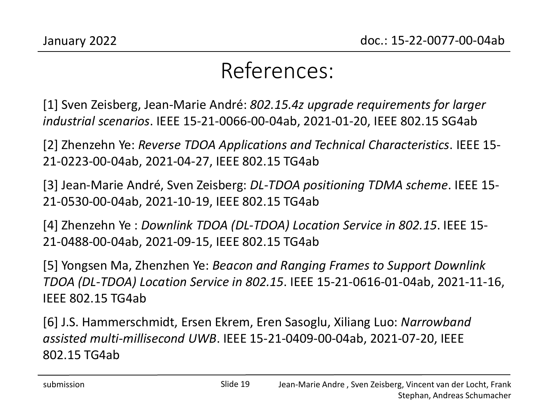#### References:

[1] Sven Zeisberg, Jean-Marie André: *802.15.4z upgrade requirements for larger industrial scenarios*. IEEE 15-21-0066-00-04ab, 2021-01-20, IEEE 802.15 SG4ab

[2] Zhenzehn Ye: *Reverse TDOA Applications and Technical Characteristics*. IEEE 15- 21-0223-00-04ab, 2021-04-27, IEEE 802.15 TG4ab

[3] Jean-Marie André, Sven Zeisberg: *DL-TDOA positioning TDMA scheme*. IEEE 15- 21-0530-00-04ab, 2021-10-19, IEEE 802.15 TG4ab

[4] Zhenzehn Ye : *Downlink TDOA (DL-TDOA) Location Service in 802.15*. IEEE 15- 21-0488-00-04ab, 2021-09-15, IEEE 802.15 TG4ab

[5] Yongsen Ma, Zhenzhen Ye: *Beacon and Ranging Frames to Support Downlink TDOA (DL-TDOA) Location Service in 802.15*. IEEE 15-21-0616-01-04ab, 2021-11-16, IEEE 802.15 TG4ab

[6] J.S. Hammerschmidt, Ersen Ekrem, Eren Sasoglu, Xiliang Luo: *Narrowband assisted multi-millisecond UWB*. IEEE 15-21-0409-00-04ab, 2021-07-20, IEEE 802.15 TG4ab